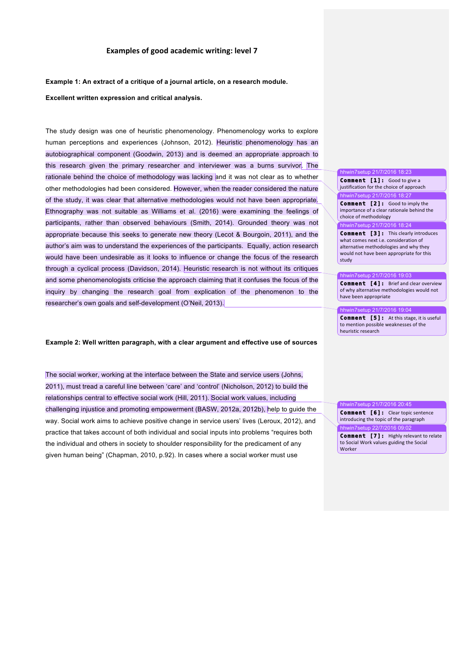# **Examples of good academic writing: level 7**

### **Example 1: An extract of a critique of a journal article, on a research module.**

## **Excellent written expression and critical analysis.**

The study design was one of heuristic phenomenology. Phenomenology works to explore human perceptions and experiences (Johnson, 2012). Heuristic phenomenology has an autobiographical component (Goodwin, 2013) and is deemed an appropriate approach to this research given the primary researcher and interviewer was a burns survivor. The rationale behind the choice of methodology was lacking and it was not clear as to whether other methodologies had been considered. However, when the reader considered the nature of the study, it was clear that alternative methodologies would not have been appropriate. Ethnography was not suitable as Williams et al. (2016) were examining the feelings of participants, rather than observed behaviours (Smith, 2014). Grounded theory was not appropriate because this seeks to generate new theory (Lecot & Bourgoin, 2011), and the author's aim was to understand the experiences of the participants. Equally, action research would have been undesirable as it looks to influence or change the focus of the research through a cyclical process (Davidson, 2014). Heuristic research is not without its critiques and some phenomenologists criticise the approach claiming that it confuses the focus of the inquiry by changing the research goal from explication of the phenomenon to the researcher's own goals and self-development (O'Neil, 2013).

#### **Example 2: Well written paragraph, with a clear argument and effective use of sources**

The social worker, working at the interface between the State and service users (Johns, 2011), must tread a careful line between 'care' and 'control' (Nicholson, 2012) to build the relationships central to effective social work (Hill, 2011). Social work values, including challenging injustice and promoting empowerment (BASW, 2012a, 2012b), help to guide the way. Social work aims to achieve positive change in service users' lives (Leroux, 2012), and practice that takes account of both individual and social inputs into problems "requires both the individual and others in society to shoulder responsibility for the predicament of any given human being" (Chapman, 2010, p.92). In cases where a social worker must use

hhwin7setup 21/7/2016 18:23 **Comment [1]:** Good to give a

justification for the choice of approach hhwin7setup 21/7/2016 18:27

**Comment [2]:** Good to imply the importance of a clear rationale behind the choice of methodology hhwin7setup 21/7/2016 18:24

**Comment [3]:** This clearly introduces what comes next i.e. consideration of alternative methodologies and why they would not have been appropriate for this study

### hhwin7setup 21/7/2016 19:03

**Comment [4]:** Brief and clear overview of why alternative methodologies would not have been appropriate

win7setup 21/7/2016 19 **Comment [5]:** At this stage, it is useful to mention possible weaknesses of the heuristic research

hhwin7setup 21/7/2016 20:45 **Comment [6]:** Clear topic sentence introducing the topic of the paragraph hhwin7setup 22/7/2016 09:02

**Comment [7]:** Highly relevant to relate to Social Work values guiding the Social Worker